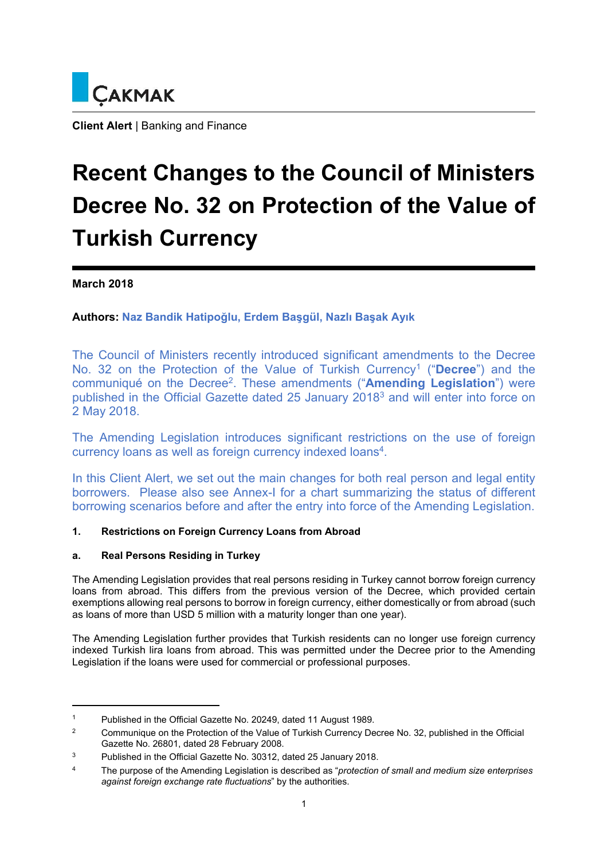

**Client Alert** | Banking and Finance

# **Recent Changes to the Council of Ministers Decree No. 32 on Protection of the Value of Turkish Currency**

**March 2018** 

**Authors: Naz Bandik Hatipoğlu, Erdem Başgül, Nazlı Başak Ayık**

The Council of Ministers recently introduced significant amendments to the Decree No. 32 on the Protection of the Value of Turkish Currency1 ("**Decree**") and the communiqué on the Decree2. These amendments ("**Amending Legislation**") were published in the Official Gazette dated 25 January 20183 and will enter into force on 2 May 2018.

The Amending Legislation introduces significant restrictions on the use of foreign currency loans as well as foreign currency indexed loans4.

In this Client Alert, we set out the main changes for both real person and legal entity borrowers. Please also see Annex-I for a chart summarizing the status of different borrowing scenarios before and after the entry into force of the Amending Legislation.

# **1. Restrictions on Foreign Currency Loans from Abroad**

### **a. Real Persons Residing in Turkey**

The Amending Legislation provides that real persons residing in Turkey cannot borrow foreign currency loans from abroad. This differs from the previous version of the Decree, which provided certain exemptions allowing real persons to borrow in foreign currency, either domestically or from abroad (such as loans of more than USD 5 million with a maturity longer than one year).

The Amending Legislation further provides that Turkish residents can no longer use foreign currency indexed Turkish lira loans from abroad. This was permitted under the Decree prior to the Amending Legislation if the loans were used for commercial or professional purposes.

<sup>1</sup> Published in the Official Gazette No. 20249, dated 11 August 1989.

<sup>&</sup>lt;sup>2</sup> Communique on the Protection of the Value of Turkish Currency Decree No. 32, published in the Official Gazette No. 26801, dated 28 February 2008.

<sup>3</sup> Published in the Official Gazette No. 30312, dated 25 January 2018.

<sup>4</sup> The purpose of the Amending Legislation is described as "*protection of small and medium size enterprises against foreign exchange rate fluctuations*" by the authorities.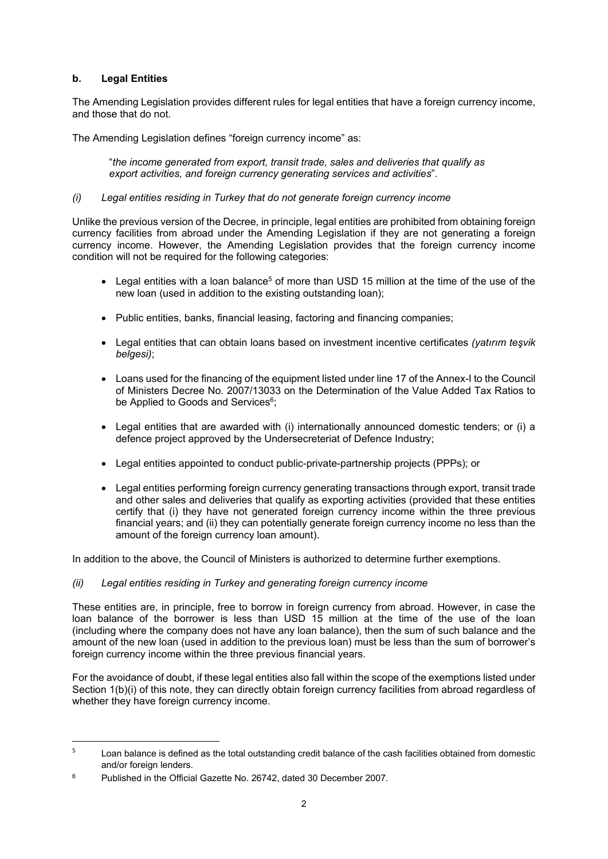## **b. Legal Entities**

The Amending Legislation provides different rules for legal entities that have a foreign currency income, and those that do not.

The Amending Legislation defines "foreign currency income" as:

"*the income generated from export, transit trade, sales and deliveries that qualify as export activities, and foreign currency generating services and activities*".

#### *(i) Legal entities residing in Turkey that do not generate foreign currency income*

Unlike the previous version of the Decree, in principle, legal entities are prohibited from obtaining foreign currency facilities from abroad under the Amending Legislation if they are not generating a foreign currency income. However, the Amending Legislation provides that the foreign currency income condition will not be required for the following categories:

- Legal entities with a loan balance<sup>5</sup> of more than USD 15 million at the time of the use of the new loan (used in addition to the existing outstanding loan);
- Public entities, banks, financial leasing, factoring and financing companies;
- Legal entities that can obtain loans based on investment incentive certificates *(yatırım teşvik belgesi)*;
- Loans used for the financing of the equipment listed under line 17 of the Annex-I to the Council of Ministers Decree No. 2007/13033 on the Determination of the Value Added Tax Ratios to be Applied to Goods and Services<sup>6</sup>;
- Legal entities that are awarded with (i) internationally announced domestic tenders; or (i) a defence project approved by the Undersecreteriat of Defence Industry;
- Legal entities appointed to conduct public-private-partnership projects (PPPs); or
- Legal entities performing foreign currency generating transactions through export, transit trade and other sales and deliveries that qualify as exporting activities (provided that these entities certify that (i) they have not generated foreign currency income within the three previous financial years; and (ii) they can potentially generate foreign currency income no less than the amount of the foreign currency loan amount).

In addition to the above, the Council of Ministers is authorized to determine further exemptions.

*(ii) Legal entities residing in Turkey and generating foreign currency income* 

These entities are, in principle, free to borrow in foreign currency from abroad. However, in case the loan balance of the borrower is less than USD 15 million at the time of the use of the loan (including where the company does not have any loan balance), then the sum of such balance and the amount of the new loan (used in addition to the previous loan) must be less than the sum of borrower's foreign currency income within the three previous financial years.

For the avoidance of doubt, if these legal entities also fall within the scope of the exemptions listed under Section 1(b)(i) of this note, they can directly obtain foreign currency facilities from abroad regardless of whether they have foreign currency income.

<sup>5</sup> Loan balance is defined as the total outstanding credit balance of the cash facilities obtained from domestic and/or foreign lenders.

<sup>6</sup> Published in the Official Gazette No. 26742, dated 30 December 2007.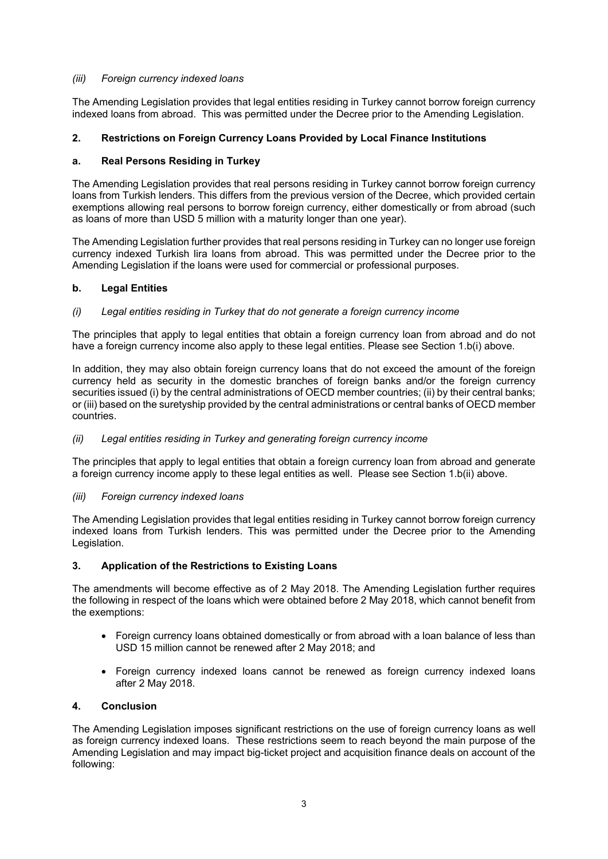### *(iii) Foreign currency indexed loans*

The Amending Legislation provides that legal entities residing in Turkey cannot borrow foreign currency indexed loans from abroad. This was permitted under the Decree prior to the Amending Legislation.

# **2. Restrictions on Foreign Currency Loans Provided by Local Finance Institutions**

## **a. Real Persons Residing in Turkey**

The Amending Legislation provides that real persons residing in Turkey cannot borrow foreign currency loans from Turkish lenders. This differs from the previous version of the Decree, which provided certain exemptions allowing real persons to borrow foreign currency, either domestically or from abroad (such as loans of more than USD 5 million with a maturity longer than one year).

The Amending Legislation further provides that real persons residing in Turkey can no longer use foreign currency indexed Turkish lira loans from abroad. This was permitted under the Decree prior to the Amending Legislation if the loans were used for commercial or professional purposes.

### **b. Legal Entities**

## *(i) Legal entities residing in Turkey that do not generate a foreign currency income*

The principles that apply to legal entities that obtain a foreign currency loan from abroad and do not have a foreign currency income also apply to these legal entities. Please see Section 1.b(i) above.

In addition, they may also obtain foreign currency loans that do not exceed the amount of the foreign currency held as security in the domestic branches of foreign banks and/or the foreign currency securities issued (i) by the central administrations of OECD member countries; (ii) by their central banks; or (iii) based on the suretyship provided by the central administrations or central banks of OECD member countries.

### *(ii) Legal entities residing in Turkey and generating foreign currency income*

The principles that apply to legal entities that obtain a foreign currency loan from abroad and generate a foreign currency income apply to these legal entities as well. Please see Section 1.b(ii) above.

### *(iii) Foreign currency indexed loans*

The Amending Legislation provides that legal entities residing in Turkey cannot borrow foreign currency indexed loans from Turkish lenders. This was permitted under the Decree prior to the Amending Legislation.

### **3. Application of the Restrictions to Existing Loans**

The amendments will become effective as of 2 May 2018. The Amending Legislation further requires the following in respect of the loans which were obtained before 2 May 2018, which cannot benefit from the exemptions:

- Foreign currency loans obtained domestically or from abroad with a loan balance of less than USD 15 million cannot be renewed after 2 May 2018; and
- Foreign currency indexed loans cannot be renewed as foreign currency indexed loans after 2 May 2018.

### **4. Conclusion**

The Amending Legislation imposes significant restrictions on the use of foreign currency loans as well as foreign currency indexed loans. These restrictions seem to reach beyond the main purpose of the Amending Legislation and may impact big-ticket project and acquisition finance deals on account of the following: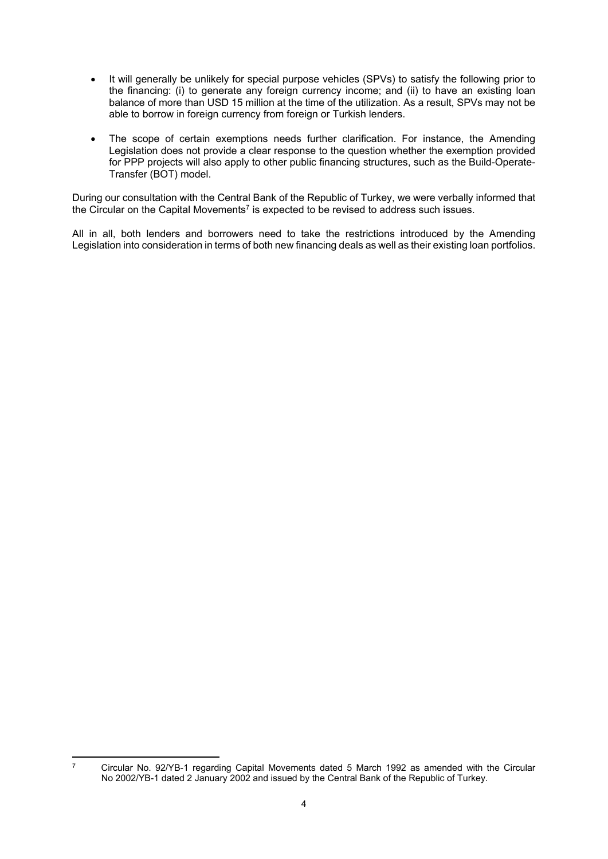- It will generally be unlikely for special purpose vehicles (SPVs) to satisfy the following prior to the financing: (i) to generate any foreign currency income; and (ii) to have an existing loan balance of more than USD 15 million at the time of the utilization. As a result, SPVs may not be able to borrow in foreign currency from foreign or Turkish lenders.
- The scope of certain exemptions needs further clarification. For instance, the Amending Legislation does not provide a clear response to the question whether the exemption provided for PPP projects will also apply to other public financing structures, such as the Build-Operate-Transfer (BOT) model.

During our consultation with the Central Bank of the Republic of Turkey, we were verbally informed that the Circular on the Capital Movements<sup>7</sup> is expected to be revised to address such issues.

All in all, both lenders and borrowers need to take the restrictions introduced by the Amending Legislation into consideration in terms of both new financing deals as well as their existing loan portfolios.

<sup>7</sup> Circular No. 92/YB-1 regarding Capital Movements dated 5 March 1992 as amended with the Circular No 2002/YB-1 dated 2 January 2002 and issued by the Central Bank of the Republic of Turkey.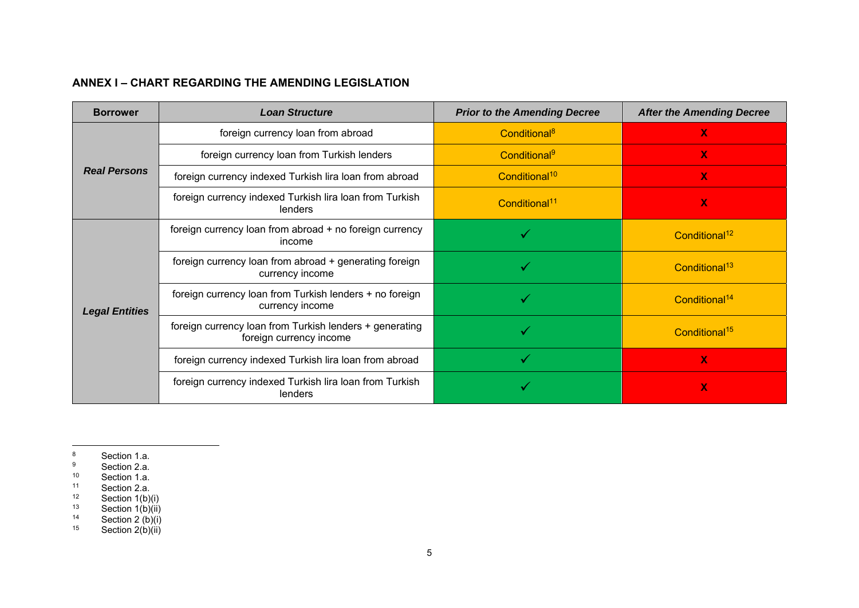# **ANNEX I – CHART REGARDING THE AMENDING LEGISLATION**

| <b>Borrower</b>       | <b>Loan Structure</b>                                                              | <b>Prior to the Amending Decree</b> | <b>After the Amending Decree</b> |
|-----------------------|------------------------------------------------------------------------------------|-------------------------------------|----------------------------------|
| <b>Real Persons</b>   | foreign currency loan from abroad                                                  | Conditional <sup>8</sup>            | $\mathbf x$                      |
|                       | foreign currency loan from Turkish lenders                                         | Conditional <sup>9</sup>            | $\mathbf{X}$                     |
|                       | foreign currency indexed Turkish lira loan from abroad                             | Conditional <sup>10</sup>           | $\mathbf x$                      |
|                       | foreign currency indexed Turkish lira loan from Turkish<br>lenders                 | Conditional <sup>11</sup>           | $\mathbf x$                      |
| <b>Legal Entities</b> | foreign currency loan from abroad + no foreign currency<br>income                  |                                     | Conditional <sup>12</sup>        |
|                       | foreign currency loan from abroad + generating foreign<br>currency income          |                                     | Conditional <sup>13</sup>        |
|                       | foreign currency loan from Turkish lenders + no foreign<br>currency income         |                                     | Conditional <sup>14</sup>        |
|                       | foreign currency loan from Turkish lenders + generating<br>foreign currency income |                                     | Conditional <sup>15</sup>        |
|                       | foreign currency indexed Turkish lira loan from abroad                             |                                     | $\mathbf x$                      |
|                       | foreign currency indexed Turkish lira loan from Turkish<br>lenders                 |                                     | $\mathbf x$                      |

<sup>&</sup>lt;sup>8</sup> Section 1.a.

<sup>&</sup>lt;sup>9</sup> Section 2.a.

<sup>&</sup>lt;sup>10</sup> Section 1.a.

 $11$  Section 2.a.

 $12$  Section 1(b)(i)

 $13$  Section 1(b)(ii)

 $14$  Section 2 (b)(i)

 $15$  Section 2(b)(ii)